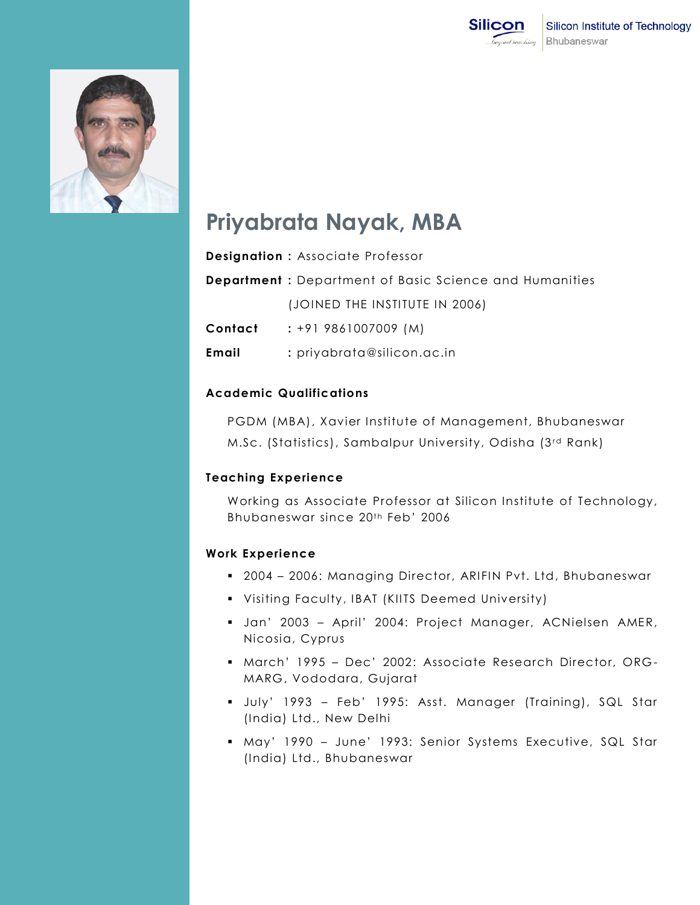



# **Priyabrata Nayak, MBA**

|         | <b>Designation: Associate Professor</b>                       |
|---------|---------------------------------------------------------------|
|         | <b>Department:</b> Department of Basic Science and Humanities |
|         | (JOINED THE INSTITUTE IN 2006)                                |
| Contact | $: +919861007009$ (M)                                         |
| Email   | $:$ priyabrata@silicon.ac.in                                  |

#### **Academic Qualifications**

PGDM (MBA), Xavier Institute of Management, Bhubaneswar M.Sc. (Statistics), Sambalpur University, Odisha (3rd Rank)

#### **Teaching Experience**

Working as Associate Professor at Silicon Institute of Technology, Bhubaneswar since 20<sup>th</sup> Feb<sup>'</sup> 2006

## **Work Experience**

- 2004 2006: Managing Director, ARIFIN Pvt. Ltd, Bhubaneswar
- Visiting Faculty, IBAT (KIITS Deemed University)
- Jan' 2003 April' 2004: Project Manager, ACNielsen AMER, Nicosia, Cyprus
- March' 1995 Dec' 2002: Associate Research Director, ORG MARG, Vododara, Gujarat
- July' 1993 Feb' 1995: Asst. Manager (Training), SQL Star (India) Ltd., New Delhi
- May' 1990 June' 1993: Senior Systems Executive, SQL Star (India) Ltd., Bhubaneswar